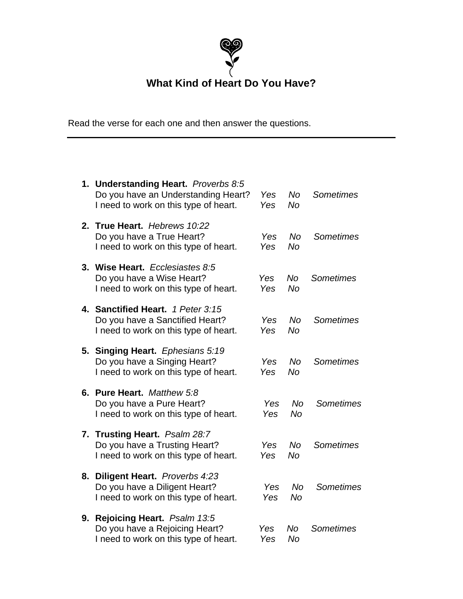

**What Kind of Heart Do You Have?**

Read the verse for each one and then answer the questions.

|    | 1. Understanding Heart. Proverbs 8:5<br>Do you have an Understanding Heart?<br>I need to work on this type of heart. | Yes<br>Yes | No<br>No               | <b>Sometimes</b> |
|----|----------------------------------------------------------------------------------------------------------------------|------------|------------------------|------------------|
|    | 2. True Heart. Hebrews 10:22<br>Do you have a True Heart?<br>I need to work on this type of heart.                   | Yes<br>Yes | <b>No</b><br><b>No</b> | <b>Sometimes</b> |
|    | 3. Wise Heart. Ecclesiastes 8:5<br>Do you have a Wise Heart?<br>I need to work on this type of heart.                | Yes<br>Yes | <b>No</b><br><b>No</b> | <b>Sometimes</b> |
|    | 4. Sanctified Heart. 1 Peter 3:15<br>Do you have a Sanctified Heart?<br>I need to work on this type of heart.        | Yes<br>Yes | <b>No</b><br>No        | Sometimes        |
|    | 5. Singing Heart. Ephesians 5:19<br>Do you have a Singing Heart?<br>I need to work on this type of heart.            | Yes<br>Yes | No<br><b>No</b>        | <b>Sometimes</b> |
|    | 6. Pure Heart. Matthew 5:8<br>Do you have a Pure Heart?<br>I need to work on this type of heart.                     | Yes<br>Yes | No<br>No               | <b>Sometimes</b> |
|    | 7. Trusting Heart. Psalm 28:7<br>Do you have a Trusting Heart?<br>I need to work on this type of heart.              | Yes<br>Yes | No<br><b>No</b>        | <b>Sometimes</b> |
| 8. | <b>Diligent Heart.</b> Proverbs 4:23<br>Do you have a Diligent Heart?<br>I need to work on this type of heart.       | Yes<br>Yes | No<br>No               | Sometimes        |
| 9. | Rejoicing Heart. Psalm 13:5<br>Do you have a Rejoicing Heart?<br>I need to work on this type of heart.               | Yes<br>Yes | No<br>No               | <b>Sometimes</b> |